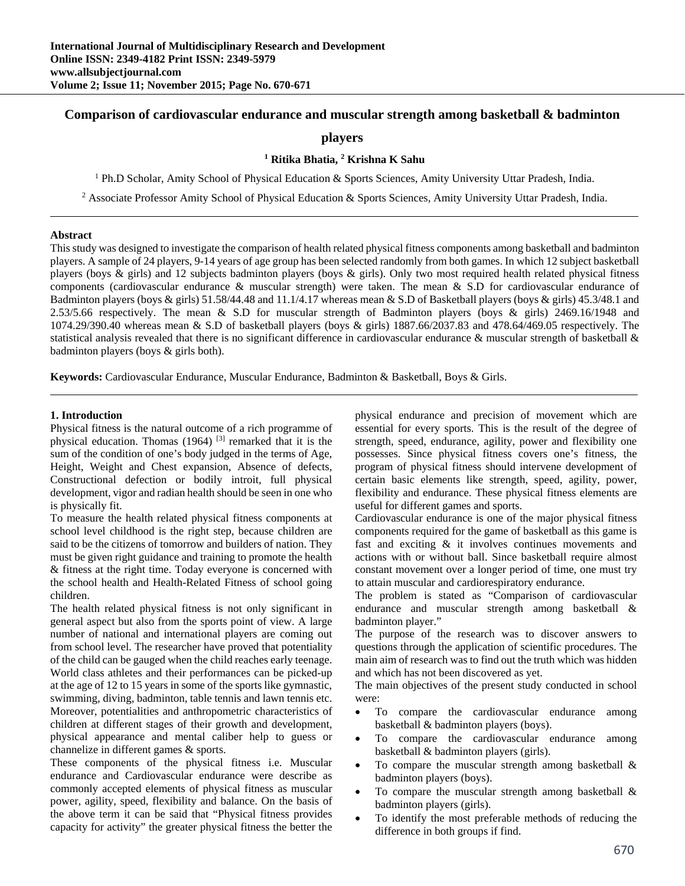# **Comparison of cardiovascular endurance and muscular strength among basketball & badminton**

# **players**

# **1 Ritika Bhatia, 2 Krishna K Sahu**

<sup>1</sup> Ph.D Scholar, Amity School of Physical Education & Sports Sciences, Amity University Uttar Pradesh, India.

<sup>2</sup> Associate Professor Amity School of Physical Education & Sports Sciences, Amity University Uttar Pradesh, India.

#### **Abstract**

This study was designed to investigate the comparison of health related physical fitness components among basketball and badminton players. A sample of 24 players, 9-14 years of age group has been selected randomly from both games. In which 12 subject basketball players (boys  $\&$  girls) and 12 subjects badminton players (boys  $\&$  girls). Only two most required health related physical fitness components (cardiovascular endurance  $\&$  muscular strength) were taken. The mean  $\&$  S.D for cardiovascular endurance of Badminton players (boys & girls) 51.58/44.48 and 11.1/4.17 whereas mean & S.D of Basketball players (boys & girls) 45.3/48.1 and 2.53/5.66 respectively. The mean & S.D for muscular strength of Badminton players (boys & girls) 2469.16/1948 and 1074.29/390.40 whereas mean & S.D of basketball players (boys & girls) 1887.66/2037.83 and 478.64/469.05 respectively. The statistical analysis revealed that there is no significant difference in cardiovascular endurance  $\&$  muscular strength of basketball  $\&$ badminton players (boys & girls both).

**Keywords:** Cardiovascular Endurance, Muscular Endurance, Badminton & Basketball, Boys & Girls.

#### **1. Introduction**

Physical fitness is the natural outcome of a rich programme of physical education. Thomas  $(1964)$  <sup>[3]</sup> remarked that it is the sum of the condition of one's body judged in the terms of Age, Height, Weight and Chest expansion, Absence of defects, Constructional defection or bodily introit, full physical development, vigor and radian health should be seen in one who is physically fit.

To measure the health related physical fitness components at school level childhood is the right step, because children are said to be the citizens of tomorrow and builders of nation. They must be given right guidance and training to promote the health & fitness at the right time. Today everyone is concerned with the school health and Health-Related Fitness of school going children.

The health related physical fitness is not only significant in general aspect but also from the sports point of view. A large number of national and international players are coming out from school level. The researcher have proved that potentiality of the child can be gauged when the child reaches early teenage. World class athletes and their performances can be picked-up at the age of 12 to 15 years in some of the sports like gymnastic, swimming, diving, badminton, table tennis and lawn tennis etc. Moreover, potentialities and anthropometric characteristics of children at different stages of their growth and development, physical appearance and mental caliber help to guess or channelize in different games & sports.

These components of the physical fitness i.e. Muscular endurance and Cardiovascular endurance were describe as commonly accepted elements of physical fitness as muscular power, agility, speed, flexibility and balance. On the basis of the above term it can be said that "Physical fitness provides capacity for activity" the greater physical fitness the better the

physical endurance and precision of movement which are essential for every sports. This is the result of the degree of strength, speed, endurance, agility, power and flexibility one possesses. Since physical fitness covers one's fitness, the program of physical fitness should intervene development of certain basic elements like strength, speed, agility, power, flexibility and endurance. These physical fitness elements are useful for different games and sports.

Cardiovascular endurance is one of the major physical fitness components required for the game of basketball as this game is fast and exciting & it involves continues movements and actions with or without ball. Since basketball require almost constant movement over a longer period of time, one must try to attain muscular and cardiorespiratory endurance.

The problem is stated as "Comparison of cardiovascular endurance and muscular strength among basketball & badminton player."

The purpose of the research was to discover answers to questions through the application of scientific procedures. The main aim of research was to find out the truth which was hidden and which has not been discovered as yet.

The main objectives of the present study conducted in school were:

- To compare the cardiovascular endurance among basketball & badminton players (boys).
- To compare the cardiovascular endurance among basketball & badminton players (girls).
- To compare the muscular strength among basketball & badminton players (boys).
- To compare the muscular strength among basketball & badminton players (girls).
- To identify the most preferable methods of reducing the difference in both groups if find.